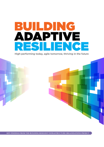# BUILDING ADAPTIVE RESILIENCE

High-performing today, agile tomorrow, thriving in the future



**KEY FINDINGS FROM THE BUILDING RESILIENT INFRASTRUCTURE ORGANISATIONS PROJECT**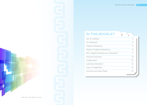### IN THIS BOOKLET

| $\overline{4}$<br>5 |
|---------------------|
|                     |
|                     |
| 6                   |
| 7                   |
| 8                   |
| 10                  |
| $12^{1}$            |
| 14                  |
| 16                  |
|                     |

ISBN 978-0-473-34291-3 (online)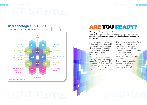# **12 technologies** that spell the end of business as usual



## ARE YOU READY?

Management experts agree that business environments around the world are likely to become more volatile, uncertain and complex in coming years. New Zealand organisations are no exception.

Sudden market shifts, turmoil in international politics, rapid technological advances, and climate change all combine to create a turbulent and unpredictable business environment.

The strategies and practices that have made organisations successful until now probably will not be effective in the future.

What does your organisation need to be successful in a volatile, unsettled environment?

This booklet gives findings from a major, three-year study of New Zealand organisations that have had to cope with major change. It presents a framework for the future that can help your organisation to adapt, survive, and thrive in turbulent environments.

This approach is based on developing a critically important attribute – adaptive resilience. **B**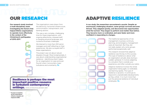Our research study involved a multi-disciplinary team investigating the factors that helped lifeline organisations to operate more effectively in the context of the Christchurch earthquakes of 2010-2011.\*

The organisations were drawn from the electricity, horizontal infrastructure, communication, transportation, and banking sectors.

This was a very complex, challenging time for these organisations, with ongoing aftershocks, stressed staff, a changing physical landscape, and numerous business challenges.

We listened to more than 200 senior managers and staff reflecting on their experiences. We also surveyed staff in these organisations.

The project was not about natural disasters though. More fundamentally, it was about understanding organisational resilience – identifying what it takes for an organisation to cope and even flourish when it encounters major turbulence and uncertainty. **B** 

#### Resilience is perhaps the most important positive resource in turbulent contemporary

settings. **AVEY, LUTHANS & JENSEN 2009**

**PHS** 

\* The project was funded by the New Zealand Ministry of Business, Innovation, and Employment (MBIE).

## OUR RESEARCH ADAPTIVE RESILIENCE

In our study, the researchers encountered a puzzle. Despite an enormously challenging situation, some groups survived and even thrived. They adapted quickly, and discovered new opportunities amid the turmoil. They began to perform even better than before. They became more co-ordinated, and were faster and more confident in responding to changes.

> The traditional approaches of risk management, business continuity planning, and emergency management were all important. But they did not really explain why some groups performed exceptionally well.

This research showed that adaptive resilience was the key to this success. This type of resilience is about what an organisation actually does during a sudden upheaval. It involves adapting to a situation that is outside your experience, and often outside your plans.

Adaptive resilience involves the whole organisation being agile, co-ordinated, and learning rapidly. This type of resilience is dynamic. It continues to respond to unpredictable developments as they unfold. It is much more than just the personal resilience of individual employees.  $\mathbf{\Theta}$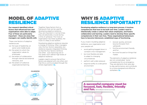### MODEL OF ADAPTIVE RESILIENCE

Our research identified critical factors that influenced how well organisations were able to adapt. Four of these are particularly important – these are areas that managers can readily identify with.

These core factors of adaptive resilience are:

- (a) the type of leadership, at senior and middle levels
- (b) the extent to which the organisation values its employees
- (c) the extent of collaboration through internal and external networks, and
- (d) the extent of collective organisational learning.

Together these factors form a framework that can be used for developing adaptive resilience. They are important in normal times; they are absolutely crucial during a time of upheaval. The more an organisation has these qualities, the more it is likely to be resilient.

Developing adaptive resilience requires a change of thinking. Often managers view the four factors separately, but resilience requires integrated thinking, so that the four factors reinforce one other. Just improving one or two areas won't deliver high levels of adaptive resilience.

Leaders need to ensure that all four factors are aligned with one other, and that this is communicated through the whole organisation. **B** 

## WHY IS ADAPTIVE RESILIENCE IMPORTANT?

Developing adaptive resilience is a long-term process. It involves competencies that have to be built over time. Leaders need to intentionally create a culture that values employees, and fosters collaboration and learning. Leaders need to develop these specific competencies in their own lives. These organisational behaviours have to become interwoven, established ways of functioning.

If you invest in building adaptive resilience, your organisation and your people will:

- avoid getting bogged down in constant crisis management
- be more flexible and able to adapt to changing circumstances
- perform well under pressure
- respond swiftly to a disruptive environment
- recover quickly, and even bounce forward, from upheavals
- find the environment friendly and fun
- be more focused on things that matter.

The elements of adaptive resilience are not complicated, "extra" competencies for an emergency. They are elements that raise dayto-day performance, and contribute to a more energised and effective workplace. **B** 

*Alignment Communication* **COLLABORATION LEADERSHIP TYPE VALUING EMPLOYEE LEARNING ORGANISATION**

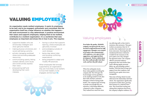

An organisation needs resilient employees. It wants its employees to be well, and to be engaged, enthusiastic and committed. But the organisation itself has a large influence on whether this happens – the work environment is a key determinant. A positive environment that values and supports employees, helping them to be resilient, contributes to a resilient organisation. It is a worldview that sees employees as important and shows this in how it acts. This requires:

- supportive leaders who are emotionally-intelligent and show genuine interest
- making physical, emotional, and social well-being a priority
- actively managing workload stress and providing adequate resourcing
- communicating openly, letting workers identify work issues and constructively express their views
- empowering staff and developing their workinterests
- having a culture that supports learning, where employees are genuinely involved
- acknowledging outside-ofwork stresses
- being clear about roles and avoiding conflicting expectations
- being prepared to adapt and modify HR practices.

When employees feel strongly supported by an organisation, they are more likely to be resilient, to trust their leaders, to be engaged, and be loyal. **B** 



#### Valuing employees

*Even before the quakes, Michelle's company was known for the way it invested in staff and focused on staff engagement. Managers were trained to be leaders who communicated with employees, were open to their suggestions, and supported their development. Workers talked about how they really put effort into their work, and how they felt valued.*

When the earthquake struck, those values guided everything the company did. The CEO gave the local manager one key guideline – to do anything needed to look after their staff, and their customers. Managers worked at being people leaders. The company kept investing in people even though this was expensive. It did things differently compared to other companies. They realised how much the stress

was affecting staff, so they tried to minimise other pressures. They gave workers an assurance that, for 12 months, their employment was safe from restructure. Knowing that the standard performance indicators wouldn't be fair measures in the post-quake scene, they changed the appraisal system. The company offered a personal resilience programme that went further than usual, offering regular personal follow-up, and including workers' families. With this kind of long-term support from their employer, staff found the post-quake stress more manageable.

That sense of being valued was also reflected in the relationship with their clients. The organisation significantly increased its market share, growing their business in a relatively short time. They found that trusting and valuing their employees does boost the company's adaptive resilience. **B**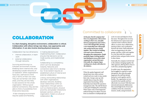

## **COLLABORATION**

In a fast-changing, disruptive environment, collaboration is critical. Collaboration with others brings new ideas, new approaches and information. It can also involve sharing physical resources.

Collaboration has two dimensions:

- internal collaboration, in team work
- external collaboration, through networks.

Surviving and thriving in a turbulent environment involves breaking down internal silos, and developing outside networks of co-operation. When organisations have silos, staff tend to think only in terms of their own area. They are not familiar with other areas, and they are less likely to see solutions for the whole organisation. Without good external connections, they are less able to think of possibilities from those extra resources.

 A fast-changing environment requires speed and flexibility,

in making decisions and implementing them. Collaboration ensures that decisions can be made quickly, and implemented swiftly.

Collaborating is a competency, which can't be developed instantly. Networks and connections take time to develop too. To be resilient requires an established culture of internal and external collaboration.

Linking, and building relationships with other organisations develops networks. Building closer relationships within an organisation, through options such as shared projects, physical proximity and greater interactions between sections within an organisation, fosters a culture of collaboration. **B** 

#### Committed to collaborate

*In the past, David's company had been very fragmented, with sections working on their own, and splits between management and workers. A new CEO changed this, forming a new leadership team with people who worked much more closely together. They worked on building trust and a sense of teamwork throughout the organisation. People gradually began working together and thinking in terms of the whole organisation, not just their part. Externally, the company began working more closely with others in the industry.*

When the quakes happened, staff already knew how other sections worked and were ready to step outside their roles. Groups came up with valuable ideas to keep the whole organisation functioning. All the leadership team shared the operationmanagement roles. The staff all shared a clear goal of helping the community. When major crisis-events happened, without having to be asked, everyone from accountants to tradespeople put

on hi-viz vests and helped in frontline areas. Throughout the recovery, the infrastructure repair teams and customer teams worked in shared offices, to ensure close collaboration, sharing of ideas, and coordination between the teams. Staff understood what was happening in the other groups, and they could work together in a way that made the company perform better, and gave better service to their clients.

Externally, the company took the lead in the industry, bringing together the other agencies, offering them a base to work from, and planning together.

In earlier years, the organisation had struggled to respond to major disruptions. But when the quake happened, the staff had already learned to work together and be flexible. The organisation set new records for how quickly and how effectively it recovered. With their new internal and external collaboration they earned high levels of trust and confidence from the community, insurers, media, and government.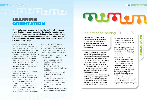## LEARNING ORIENTATION

Organisations can function well in familiar settings. But a sudden disruption brings a new, very unfamiliar situation. Leaders have to make decisions quickly, with little information. At those times, organisations with a learning culture are faster at understanding the new situation – they can make better-informed decisions, and can adapt more rapidly.

Creating a learning culture requires leaders who are open to learning and change in their own lives. Those leaders also champion organisational learning; they set the overall environment, and take a strong interest in the processes for developing new skills and ideas. They ensure that insights from across the organisation are pooled together as common knowledge, and then translated into new ways of thinking and acting.

Collective learning and continuous improvement are central elements of adaptive resilience. Organisations that do these well can read new situations more accurately, and keep adjusting their responses. But this doesn't happen naturally. For collective learning to continue long-term, it has to be intentional – otherwise learning doesn't occur, or insights

are only held by individuals. Organisational learning is a sophisticated competency. It is powerful, but it may also be the most difficult element to develop.

Specific elements that promote a learning orientation include:

- an openness to learning, feedback and ongoing improvement
	- an environment that encourages problem-solving, not blaming
- a 'safe' culture, where it's ok to admit mistakes, and jointly learn from them
- an ability to pause and reflect. as individuals and as a group
- an ability to listen to others. and consider alternative options
- a willingness to take risks, and explore untested new ideas  $\Theta$

#### The power of learning

*For several years Sarah's company had become more intentional about learning, exploring philosophies for continuous improvement. But the earthquakes threw them into a totally foreign situation.* 

At first, every time there was a major aftershock they closed their operations. They soon realised this wasn't sustainable and they had to gather everyone's input to figure out new ways of working. Together they devised strategies that included classifying quakes and creating actionplans for each type of shock. They set up a new, onoing process of debriefing after each major incident to get new ways of thinking and operating.

They developed a new attitude to learning and tackling challenges together. Instead of blaming each other when problems happened, members used language like "what's missing, and what will we need for that to work better?" They also used

this learning approach with other challenges like snowstorms, and became skilled at rapidly forming new plans.

Their new disaster strategies were then used nationwide. Worksites were changed across the country and work-teams were trained for new processes.

Their ongoing day-to-day functioning changed too. Their motto was "we'll be better than before". They incorporated what they'd learned from the crisis into their business as usual. They continued their group debriefing. They rewrote systems and drastically shortened processes. They kept experimenting with a range of new innovations. Some worked and some didn't – but most importantly, they had discovered the power of keeping on learning. **B**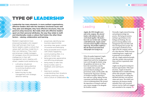CASE STUDY

STUDY

**CASH** 

### TYPE OF LEADERSHIP

Leadership has many elements. In more resilient organisations, effective leaders deal with the standard, functional issues well. They plan and delegate, they have effective structures, they are good at using resources. But really what sets effective leaders apart are their personal attributes, the way they relate to staff, and intentionally create a culture that fosters the other three factors – valuing, collaboration and learning.

Resilient organisations have empowering leaders who respect their staff and earn their trust. Senior leaders create a culture that values staff, and they model this in their own behaviour. They coach and empower middle managers. All managers show EQ (emotional intelligence) in their selfmanagement and in dealing with others. Leaders build resilience by:

- cultivating 'situational awareness'; being attentive to evolving situations, and prompt to adapt
- balancing day-to-day management with strategic direction-setting
- proactively identifying new business opportunities
- providing clear goals, a sense of purpose and belonging
- being accessible and in-touch with what's happening
- communicating often, in a genuine, honest way
- being genuinely appreciative, and affirming employees
- being ready to take risks
- being humble, open to feedback, and wanting to learn
- listening to workers. understanding their situations • building a learning culture, and a culture of collaboration **B**

#### Leading

*Angela, the CEO, brought a new style to the company. She selected leaders with initiative who could work closely together. The leaders knew she was 'on their side', and they could talk honestly. Angela wanted everyone to learn together, to keep on improving. The frontline staff knew that she listened and understood what people were trying to say.* 

When the quakes happened, Angela didn't try to micro-manage. She stepped back and let her management team work through the details, using the guidelines she had set out. They knew she trusted them, and she was available when needed. Angela protected them by dealing with government, media, and the public. She monitored the 'big picture', checking on frontline managers, listening to how staff were coping, talking with the community and business leaders, with a focus on planning ahead. She stressed the importance of caring for staff and sent a senior manager to be alongside the frontline workers.

Personally, Angela enjoyed learning, and putting knowledge into practice. She had good mentors, and kept a good balance in her feelings and thinking. She was good at noticing abilities in her management team and other staff, then developing those people. She encouraged contributions from right across the company, and she set a clear direction. While everyone worked long hours, Angela tried to purposely set an example of self-care. Angela understood people, what they needed, what motivated them, and how to genuinely relate with them.

Angela was also good at seeing new business opportunities. With major decisions, Angela involved her leadership team in carefully debating all the risks and gains. Together they checked how everything they did fitted with their core purpose, values and vision. The results were impressive; the business steadily expanded, their work was good, turnover was low. Staff were engaged and committed to the company. **ED** 

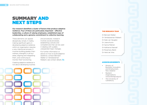## SUMMARY AND NEXT STEPS

Our research identified a cluster of factors that produce adaptive resilience. Four of these are particularly important – effective leadership, a culture of valuing employees, established ways of collaborating and a genuine commitment to collective learning.

These elements can appear deceptively simple. In reality, making significant gains in developing adaptive resilience within an organisation requires a very intentional process. It involves building greater-thanordinary strengths in all four areas, aligning and integrating them, and continuing to monitor their functioning.

and procedures. Instead it involves social processes, establishing cultures and competencies that can be used in dealing with sudden, unexpected major changes.

For further information or advice on how to build adaptive resilience, contact Bernard Walker or Venkataraman Nilakant, see contact details. **B** 

Creating adaptive resilience is not about developing routines



#### THE RESEARCH TEAM

Dr Bernard Walker Dr Venkataraman Nilakant Dr Kate van Heugten Dr Joana Kuntz Dr Sanna Malinen Dr Katharina Naswall Dr Rosemary Baird Dr Herb de Vries

#### ACKNOWLEDGEMENTS

- Ministry of Business, Innovation, and Employment, New Zealand
- **Resilient Organisations** (www.resorgs.org.nz)
- The University of Canterbury